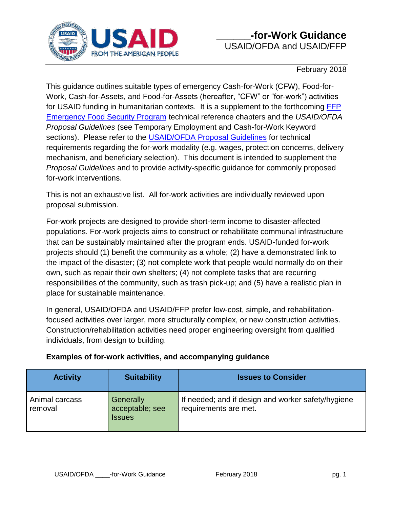

February 2018

This guidance outlines suitable types of emergency Cash-for-Work (CFW), Food-for-Work, Cash-for-Assets, and Food-for-Assets (hereafter, "CFW" or "for-work") activities for USAID funding in humanitarian contexts. It is a supplement to the forthcoming [FFP](https://www.usaid.gov/food-assistance/what-we-do/emergency-activities)  [Emergency Food Security Program](https://www.usaid.gov/food-assistance/what-we-do/emergency-activities) technical reference chapters and the *USAID/OFDA Proposal Guidelines* (see Temporary Employment and Cash-for-Work Keyword sections). Please refer to the [USAID/OFDA Proposal Guidelines](https://www.usaid.gov/what-we-do/working-crises-and-conflict/crisis-response/resources/guidelines-proposals) for technical requirements regarding the for-work modality (e.g. wages, protection concerns, delivery mechanism, and beneficiary selection). This document is intended to supplement the *Proposal Guidelines* and to provide activity-specific guidance for commonly proposed for-work interventions.

This is not an exhaustive list. All for-work activities are individually reviewed upon proposal submission.

For-work projects are designed to provide short-term income to disaster-affected populations. For-work projects aims to construct or rehabilitate communal infrastructure that can be sustainably maintained after the program ends. USAID-funded for-work projects should (1) benefit the community as a whole; (2) have a demonstrated link to the impact of the disaster; (3) not complete work that people would normally do on their own, such as repair their own shelters; (4) not complete tasks that are recurring responsibilities of the community, such as trash pick-up; and (5) have a realistic plan in place for sustainable maintenance.

In general, USAID/OFDA and USAID/FFP prefer low-cost, simple, and rehabilitationfocused activities over larger, more structurally complex, or new construction activities. Construction/rehabilitation activities need proper engineering oversight from qualified individuals, from design to building.

| <b>Activity</b>           | <b>Suitability</b>                            | <b>Issues to Consider</b>                                                   |
|---------------------------|-----------------------------------------------|-----------------------------------------------------------------------------|
| Animal carcass<br>removal | Generally<br>acceptable; see<br><b>Issues</b> | If needed; and if design and worker safety/hygiene<br>requirements are met. |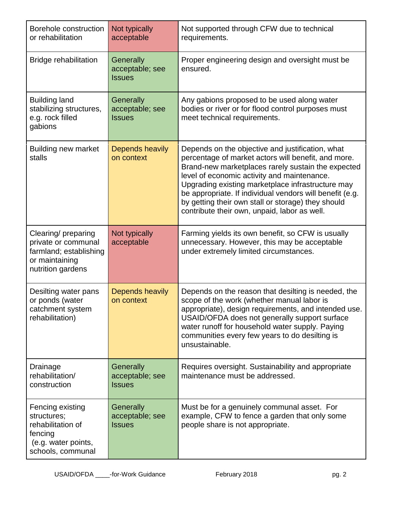| Borehole construction<br>or rehabilitation                                                                  | Not typically<br>acceptable                          | Not supported through CFW due to technical<br>requirements.                                                                                                                                                                                                                                                                                                                                                                         |
|-------------------------------------------------------------------------------------------------------------|------------------------------------------------------|-------------------------------------------------------------------------------------------------------------------------------------------------------------------------------------------------------------------------------------------------------------------------------------------------------------------------------------------------------------------------------------------------------------------------------------|
| <b>Bridge rehabilitation</b>                                                                                | Generally<br>acceptable; see<br><b>Issues</b>        | Proper engineering design and oversight must be<br>ensured.                                                                                                                                                                                                                                                                                                                                                                         |
| <b>Building land</b><br>stabilizing structures,<br>e.g. rock filled<br>gabions                              | Generally<br>acceptable; see<br><b>Issues</b>        | Any gabions proposed to be used along water<br>bodies or river or for flood control purposes must<br>meet technical requirements.                                                                                                                                                                                                                                                                                                   |
| <b>Building new market</b><br>stalls                                                                        | Depends heavily<br>on context                        | Depends on the objective and justification, what<br>percentage of market actors will benefit, and more.<br>Brand-new marketplaces rarely sustain the expected<br>level of economic activity and maintenance.<br>Upgrading existing marketplace infrastructure may<br>be appropriate. If individual vendors will benefit (e.g.<br>by getting their own stall or storage) they should<br>contribute their own, unpaid, labor as well. |
| Clearing/ preparing<br>private or communal<br>farmland; establishing<br>or maintaining<br>nutrition gardens | Not typically<br>acceptable                          | Farming yields its own benefit, so CFW is usually<br>unnecessary. However, this may be acceptable<br>under extremely limited circumstances.                                                                                                                                                                                                                                                                                         |
| Desilting water pans<br>or ponds (water<br>catchment system<br>rehabilitation)                              | Depends heavily<br>on context                        | Depends on the reason that desilting is needed, the<br>scope of the work (whether manual labor is<br>appropriate), design requirements, and intended use.<br>USAID/OFDA does not generally support surface<br>water runoff for household water supply. Paying<br>communities every few years to do desilting is<br>unsustainable.                                                                                                   |
| Drainage<br>rehabilitation/<br>construction                                                                 | <b>Generally</b><br>acceptable; see<br><b>Issues</b> | Requires oversight. Sustainability and appropriate<br>maintenance must be addressed.                                                                                                                                                                                                                                                                                                                                                |
| Fencing existing<br>structures;<br>rehabilitation of<br>fencing<br>(e.g. water points,<br>schools, communal | Generally<br>acceptable; see<br><b>Issues</b>        | Must be for a genuinely communal asset. For<br>example, CFW to fence a garden that only some<br>people share is not appropriate.                                                                                                                                                                                                                                                                                                    |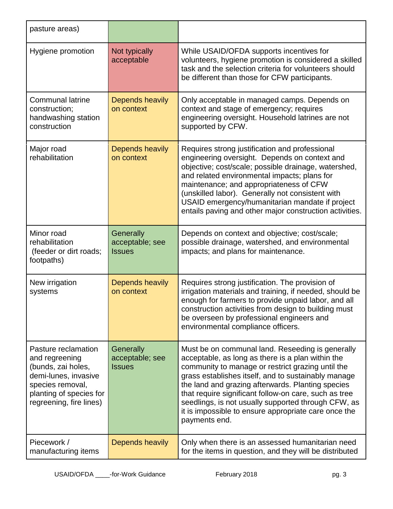| pasture areas)                                                                                                                                                |                                               |                                                                                                                                                                                                                                                                                                                                                                                                                                                                 |
|---------------------------------------------------------------------------------------------------------------------------------------------------------------|-----------------------------------------------|-----------------------------------------------------------------------------------------------------------------------------------------------------------------------------------------------------------------------------------------------------------------------------------------------------------------------------------------------------------------------------------------------------------------------------------------------------------------|
| Hygiene promotion                                                                                                                                             | Not typically<br>acceptable                   | While USAID/OFDA supports incentives for<br>volunteers, hygiene promotion is considered a skilled<br>task and the selection criteria for volunteers should<br>be different than those for CFW participants.                                                                                                                                                                                                                                                     |
| <b>Communal latrine</b><br>construction;<br>handwashing station<br>construction                                                                               | <b>Depends heavily</b><br>on context          | Only acceptable in managed camps. Depends on<br>context and stage of emergency; requires<br>engineering oversight. Household latrines are not<br>supported by CFW.                                                                                                                                                                                                                                                                                              |
| Major road<br>rehabilitation                                                                                                                                  | Depends heavily<br>on context                 | Requires strong justification and professional<br>engineering oversight. Depends on context and<br>objective; cost/scale; possible drainage, watershed,<br>and related environmental impacts; plans for<br>maintenance; and appropriateness of CFW<br>(unskilled labor). Generally not consistent with<br>USAID emergency/humanitarian mandate if project<br>entails paving and other major construction activities.                                            |
| Minor road<br>rehabilitation<br>(feeder or dirt roads;<br>footpaths)                                                                                          | Generally<br>acceptable; see<br><b>Issues</b> | Depends on context and objective; cost/scale;<br>possible drainage, watershed, and environmental<br>impacts; and plans for maintenance.                                                                                                                                                                                                                                                                                                                         |
| New irrigation<br>systems                                                                                                                                     | <b>Depends heavily</b><br>on context          | Requires strong justification. The provision of<br>irrigation materials and training, if needed, should be<br>enough for farmers to provide unpaid labor, and all<br>construction activities from design to building must<br>be overseen by professional engineers and<br>environmental compliance officers.                                                                                                                                                    |
| Pasture reclamation<br>and regreening<br>(bunds, zai holes,<br>demi-lunes, invasive<br>species removal,<br>planting of species for<br>regreening, fire lines) | Generally<br>acceptable; see<br><b>Issues</b> | Must be on communal land. Reseeding is generally<br>acceptable, as long as there is a plan within the<br>community to manage or restrict grazing until the<br>grass establishes itself, and to sustainably manage<br>the land and grazing afterwards. Planting species<br>that require significant follow-on care, such as tree<br>seedlings, is not usually supported through CFW, as<br>it is impossible to ensure appropriate care once the<br>payments end. |
| Piecework /<br>manufacturing items                                                                                                                            | Depends heavily                               | Only when there is an assessed humanitarian need<br>for the items in question, and they will be distributed                                                                                                                                                                                                                                                                                                                                                     |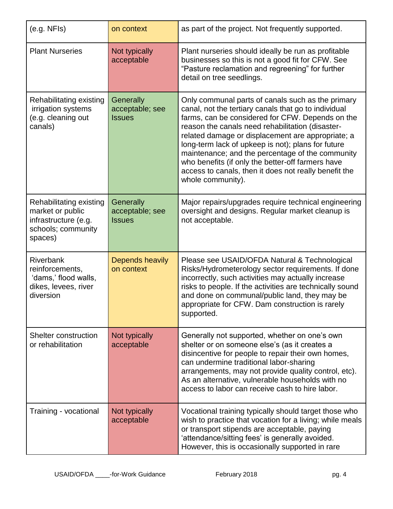| (e.g. NFIs)                                                                                          | on context                                    | as part of the project. Not frequently supported.                                                                                                                                                                                                                                                                                                                                                                                                                                                                   |
|------------------------------------------------------------------------------------------------------|-----------------------------------------------|---------------------------------------------------------------------------------------------------------------------------------------------------------------------------------------------------------------------------------------------------------------------------------------------------------------------------------------------------------------------------------------------------------------------------------------------------------------------------------------------------------------------|
| <b>Plant Nurseries</b>                                                                               | Not typically<br>acceptable                   | Plant nurseries should ideally be run as profitable<br>businesses so this is not a good fit for CFW. See<br>"Pasture reclamation and regreening" for further<br>detail on tree seedlings.                                                                                                                                                                                                                                                                                                                           |
| Rehabilitating existing<br>irrigation systems<br>(e.g. cleaning out<br>canals)                       | Generally<br>acceptable; see<br><b>Issues</b> | Only communal parts of canals such as the primary<br>canal, not the tertiary canals that go to individual<br>farms, can be considered for CFW. Depends on the<br>reason the canals need rehabilitation (disaster-<br>related damage or displacement are appropriate; a<br>long-term lack of upkeep is not); plans for future<br>maintenance; and the percentage of the community<br>who benefits (if only the better-off farmers have<br>access to canals, then it does not really benefit the<br>whole community). |
| Rehabilitating existing<br>market or public<br>infrastructure (e.g.<br>schools; community<br>spaces) | Generally<br>acceptable; see<br><b>Issues</b> | Major repairs/upgrades require technical engineering<br>oversight and designs. Regular market cleanup is<br>not acceptable.                                                                                                                                                                                                                                                                                                                                                                                         |
| <b>Riverbank</b><br>reinforcements,<br>'dams,' flood walls,<br>dikes, levees, river<br>diversion     | Depends heavily<br>on context                 | Please see USAID/OFDA Natural & Technological<br>Risks/Hydrometerology sector requirements. If done<br>incorrectly, such activities may actually increase<br>risks to people. If the activities are technically sound<br>and done on communal/public land, they may be<br>appropriate for CFW. Dam construction is rarely<br>supported.                                                                                                                                                                             |
| Shelter construction<br>or rehabilitation                                                            | Not typically<br>acceptable                   | Generally not supported, whether on one's own<br>shelter or on someone else's (as it creates a<br>disincentive for people to repair their own homes,<br>can undermine traditional labor-sharing<br>arrangements, may not provide quality control, etc).<br>As an alternative, vulnerable households with no<br>access to labor can receive cash to hire labor.                                                                                                                                                      |
| Training - vocational                                                                                | Not typically<br>acceptable                   | Vocational training typically should target those who<br>wish to practice that vocation for a living; while meals<br>or transport stipends are acceptable, paying<br>'attendance/sitting fees' is generally avoided.<br>However, this is occasionally supported in rare                                                                                                                                                                                                                                             |